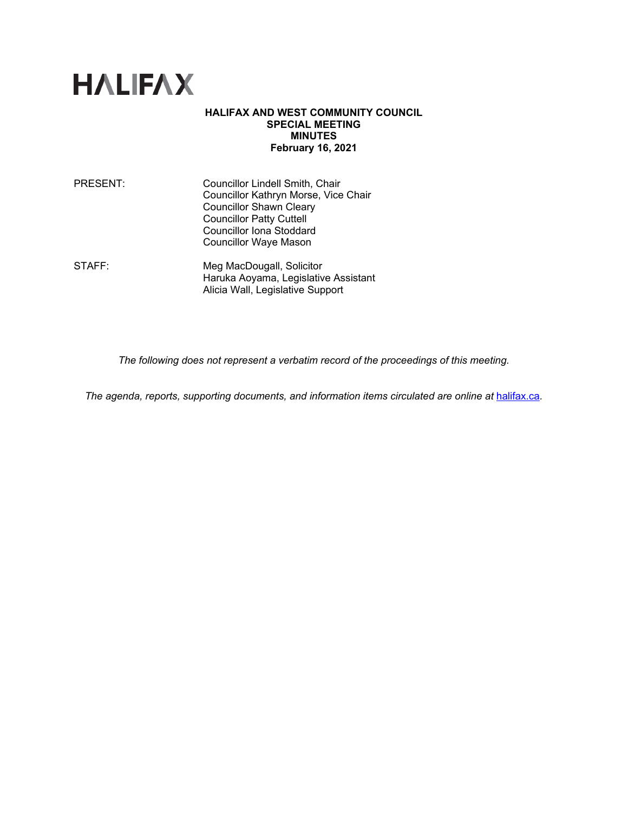

## **HALIFAX AND WEST COMMUNITY COUNCIL SPECIAL MEETING MINUTES February 16, 2021**

| PRESENT: | Councillor Lindell Smith, Chair      |
|----------|--------------------------------------|
|          | Councillor Kathryn Morse, Vice Chair |
|          | <b>Councillor Shawn Cleary</b>       |
|          | <b>Councillor Patty Cuttell</b>      |
|          | <b>Councillor Iona Stoddard</b>      |
|          | <b>Councillor Waye Mason</b>         |
|          |                                      |

STAFF: Meg MacDougall, Solicitor Haruka Aoyama, Legislative Assistant Alicia Wall, Legislative Support

*The following does not represent a verbatim record of the proceedings of this meeting.*

*The agenda, reports, supporting documents, and information items circulated are online at [halifax.ca](http://www.halifax.ca/).*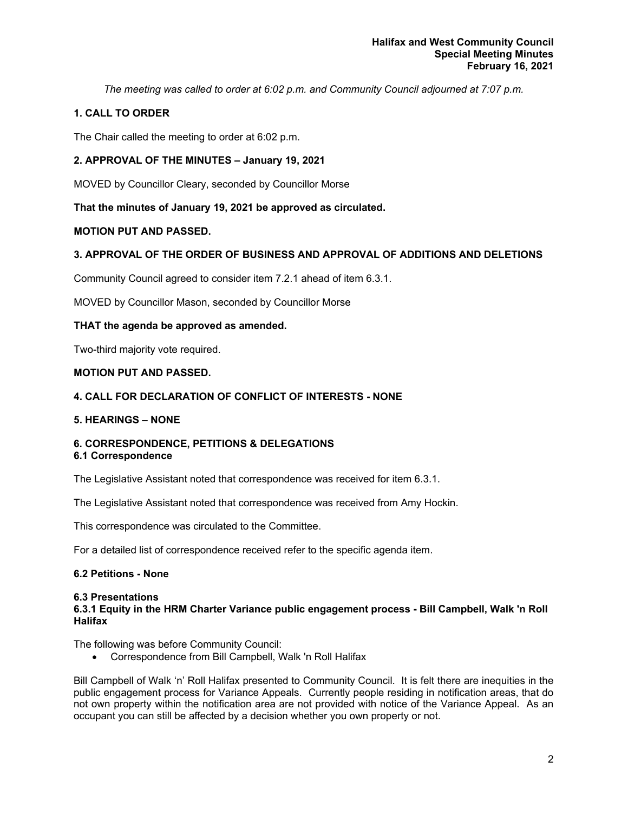*The meeting was called to order at 6:02 p.m. and Community Council adjourned at 7:07 p.m.*

## **1. CALL TO ORDER**

The Chair called the meeting to order at 6:02 p.m.

## **2. APPROVAL OF THE MINUTES – January 19, 2021**

MOVED by Councillor Cleary, seconded by Councillor Morse

**That the minutes of January 19, 2021 be approved as circulated.**

## **MOTION PUT AND PASSED.**

## **3. APPROVAL OF THE ORDER OF BUSINESS AND APPROVAL OF ADDITIONS AND DELETIONS**

Community Council agreed to consider item 7.2.1 ahead of item 6.3.1.

MOVED by Councillor Mason, seconded by Councillor Morse

## **THAT the agenda be approved as amended.**

Two-third majority vote required.

## **MOTION PUT AND PASSED.**

## **4. CALL FOR DECLARATION OF CONFLICT OF INTERESTS - NONE**

## **5. HEARINGS – NONE**

#### **6. CORRESPONDENCE, PETITIONS & DELEGATIONS 6.1 Correspondence**

The Legislative Assistant noted that correspondence was received for item 6.3.1.

The Legislative Assistant noted that correspondence was received from Amy Hockin.

This correspondence was circulated to the Committee.

For a detailed list of correspondence received refer to the specific agenda item.

## **6.2 Petitions - None**

## **6.3 Presentations**

## **6.3.1 Equity in the HRM Charter Variance public engagement process - Bill Campbell, Walk 'n Roll Halifax**

The following was before Community Council:

• Correspondence from Bill Campbell, Walk 'n Roll Halifax

Bill Campbell of Walk 'n' Roll Halifax presented to Community Council. It is felt there are inequities in the public engagement process for Variance Appeals. Currently people residing in notification areas, that do not own property within the notification area are not provided with notice of the Variance Appeal. As an occupant you can still be affected by a decision whether you own property or not.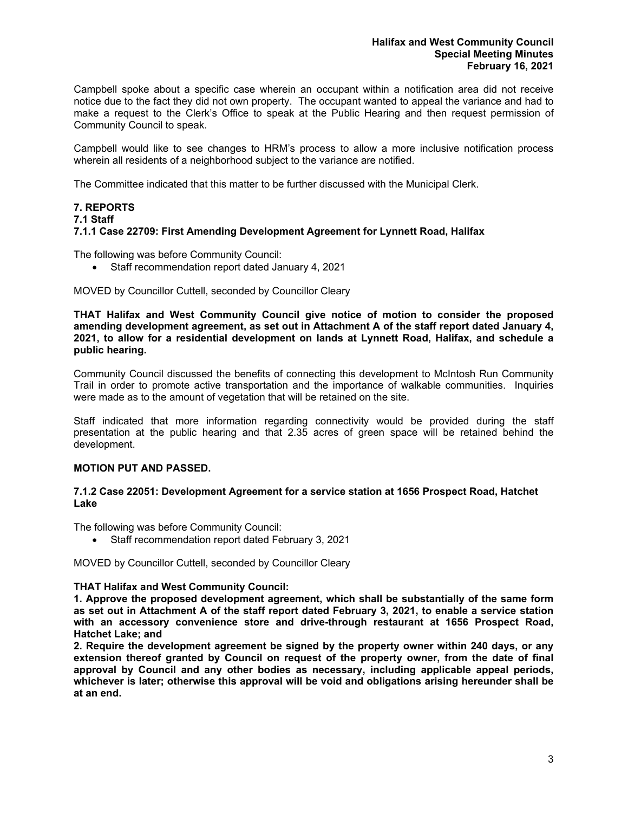Campbell spoke about a specific case wherein an occupant within a notification area did not receive notice due to the fact they did not own property. The occupant wanted to appeal the variance and had to make a request to the Clerk's Office to speak at the Public Hearing and then request permission of Community Council to speak.

Campbell would like to see changes to HRM's process to allow a more inclusive notification process wherein all residents of a neighborhood subject to the variance are notified.

The Committee indicated that this matter to be further discussed with the Municipal Clerk.

## **7. REPORTS**

#### **7.1 Staff**

## **7.1.1 Case 22709: First Amending Development Agreement for Lynnett Road, Halifax**

The following was before Community Council:

• Staff recommendation report dated January 4, 2021

MOVED by Councillor Cuttell, seconded by Councillor Cleary

**THAT Halifax and West Community Council give notice of motion to consider the proposed amending development agreement, as set out in Attachment A of the staff report dated January 4, 2021, to allow for a residential development on lands at Lynnett Road, Halifax, and schedule a public hearing.**

Community Council discussed the benefits of connecting this development to McIntosh Run Community Trail in order to promote active transportation and the importance of walkable communities. Inquiries were made as to the amount of vegetation that will be retained on the site.

Staff indicated that more information regarding connectivity would be provided during the staff presentation at the public hearing and that 2.35 acres of green space will be retained behind the development.

## **MOTION PUT AND PASSED.**

## **7.1.2 Case 22051: Development Agreement for a service station at 1656 Prospect Road, Hatchet Lake**

The following was before Community Council:

• Staff recommendation report dated February 3, 2021

MOVED by Councillor Cuttell, seconded by Councillor Cleary

## **THAT Halifax and West Community Council:**

**1. Approve the proposed development agreement, which shall be substantially of the same form as set out in Attachment A of the staff report dated February 3, 2021, to enable a service station with an accessory convenience store and drive-through restaurant at 1656 Prospect Road, Hatchet Lake; and**

**2. Require the development agreement be signed by the property owner within 240 days, or any extension thereof granted by Council on request of the property owner, from the date of final approval by Council and any other bodies as necessary, including applicable appeal periods, whichever is later; otherwise this approval will be void and obligations arising hereunder shall be at an end.**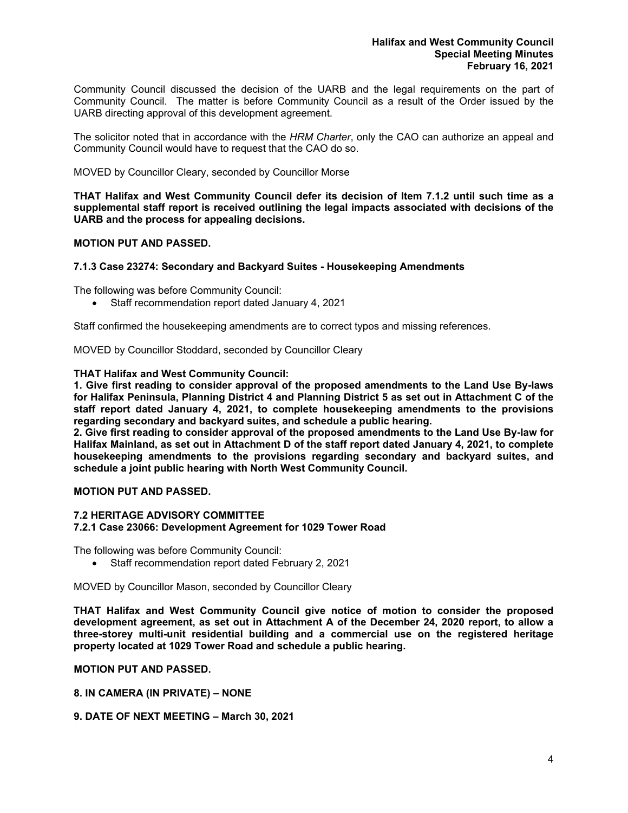Community Council discussed the decision of the UARB and the legal requirements on the part of Community Council. The matter is before Community Council as a result of the Order issued by the UARB directing approval of this development agreement.

The solicitor noted that in accordance with the *HRM Charter*, only the CAO can authorize an appeal and Community Council would have to request that the CAO do so.

MOVED by Councillor Cleary, seconded by Councillor Morse

**THAT Halifax and West Community Council defer its decision of Item 7.1.2 until such time as a supplemental staff report is received outlining the legal impacts associated with decisions of the UARB and the process for appealing decisions.**

## **MOTION PUT AND PASSED.**

## **7.1.3 Case 23274: Secondary and Backyard Suites - Housekeeping Amendments**

The following was before Community Council:

• Staff recommendation report dated January 4, 2021

Staff confirmed the housekeeping amendments are to correct typos and missing references.

MOVED by Councillor Stoddard, seconded by Councillor Cleary

#### **THAT Halifax and West Community Council:**

**1. Give first reading to consider approval of the proposed amendments to the Land Use By-laws for Halifax Peninsula, Planning District 4 and Planning District 5 as set out in Attachment C of the staff report dated January 4, 2021, to complete housekeeping amendments to the provisions regarding secondary and backyard suites, and schedule a public hearing.**

**2. Give first reading to consider approval of the proposed amendments to the Land Use By-law for Halifax Mainland, as set out in Attachment D of the staff report dated January 4, 2021, to complete housekeeping amendments to the provisions regarding secondary and backyard suites, and schedule a joint public hearing with North West Community Council.**

## **MOTION PUT AND PASSED.**

## **7.2 HERITAGE ADVISORY COMMITTEE**

#### **7.2.1 Case 23066: Development Agreement for 1029 Tower Road**

The following was before Community Council:

• Staff recommendation report dated February 2, 2021

MOVED by Councillor Mason, seconded by Councillor Cleary

**THAT Halifax and West Community Council give notice of motion to consider the proposed development agreement, as set out in Attachment A of the December 24, 2020 report, to allow a three-storey multi-unit residential building and a commercial use on the registered heritage property located at 1029 Tower Road and schedule a public hearing.**

#### **MOTION PUT AND PASSED.**

**8. IN CAMERA (IN PRIVATE) – NONE**

**9. DATE OF NEXT MEETING – March 30, 2021**